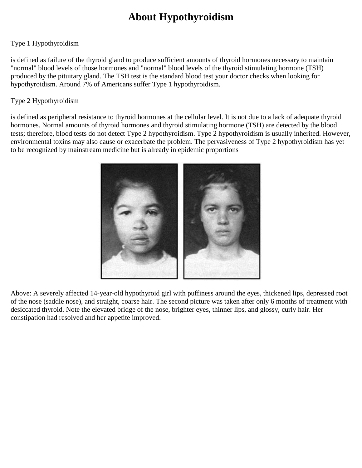## **About Hypothyroidism**

## Type 1 Hypothyroidism

is defined as failure of the thyroid gland to produce sufficient amounts of thyroid hormones necessary to maintain "normal" blood levels of those hormones and "normal" blood levels of the thyroid stimulating hormone (TSH) produced by the pituitary gland. The TSH test is the standard blood test your doctor checks when looking for hypothyroidism. Around 7% of Americans suffer Type 1 hypothyroidism.

### Type 2 Hypothyroidism

is defined as peripheral resistance to thyroid hormones at the cellular level. It is not due to a lack of adequate thyroid hormones. Normal amounts of thyroid hormones and thyroid stimulating hormone (TSH) are detected by the blood tests; therefore, blood tests do not detect Type 2 hypothyroidism. Type 2 hypothyroidism is usually inherited. However, environmental toxins may also cause or exacerbate the problem. The pervasiveness of Type 2 hypothyroidism has yet to be recognized by mainstream medicine but is already in epidemic proportions



Above: A severely affected 14-year-old hypothyroid girl with puffiness around the eyes, thickened lips, depressed root of the nose (saddle nose), and straight, coarse hair. The second picture was taken after only 6 months of treatment with desiccated thyroid. Note the elevated bridge of the nose, brighter eyes, thinner lips, and glossy, curly hair. Her constipation had resolved and her appetite improved.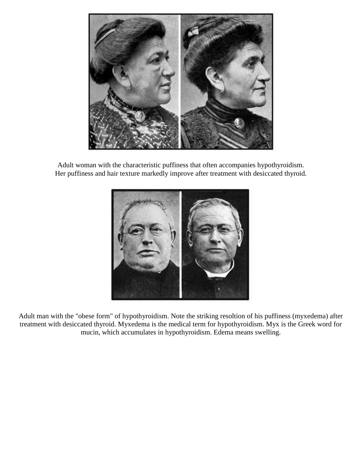

Adult woman with the characteristic puffiness that often accompanies hypothyroidism. Her puffiness and hair texture markedly improve after treatment with desiccated thyroid.



Adult man with the "obese form" of hypothyroidism. Note the striking resoltion of his puffiness (myxedema) after treatment with desiccated thyroid. Myxedema is the medical term for hypothyroidism. Myx is the Greek word for mucin, which accumulates in hypothyroidism. Edema means swelling.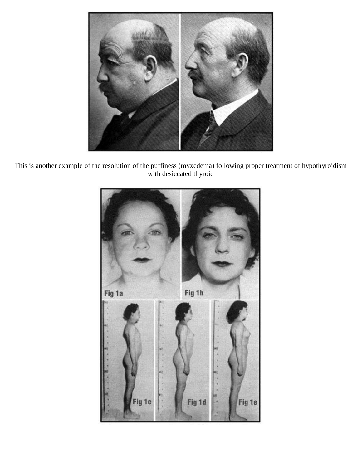

This is another example of the resolution of the puffiness (myxedema) following proper treatment of hypothyroidism with desiccated thyroid

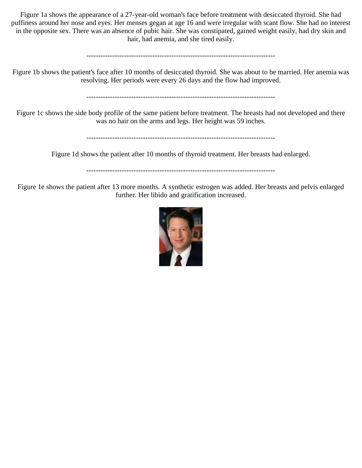Figure 1a shows the appearance of a 27-year-old woman's face before treatment with desiccated thyroid. She had puffiness around her nose and eyes. Her menses gegan at age 16 and were irregular with scant flow. She had no interest in the opposite sex. There was an absence of pubic hair. She was constipated, gained weight easily, had dry skin and hair, had anemia, and she tired easily.

--------------------------------------------------------------------------------

Figure 1b shows the patient's face after 10 months of desiccated thyroid. She was about to be married. Her anemia was resolving. Her periods were every 26 days and the flow had improved.

--------------------------------------------------------------------------------

Figure 1c shows the side body profile of the same patient before treatment. The breasts had not developed and there was no hair on the arms and legs. Her height was 59 inches.

--------------------------------------------------------------------------------

Figure 1d shows the patient after 10 months of thyroid treatment. Her breasts had enlarged.

--------------------------------------------------------------------------------

Figure 1e shows the patient after 13 more months. A synthetic estrogen was added. Her breasts and pelvis enlarged further. Her libido and gratification increased.

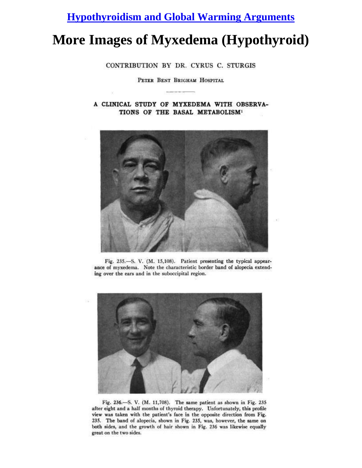## **[Hypothyroidism and Global Warming Arguments](http://curezone.com/forums/fm.asp?i=1125091#i)**

# **More Images of Myxedema (Hypothyroid)**

CONTRIBUTION BY DR. CYRUS C. STURGIS

PETER BENT BRIGHAM HOSPITAL

A CLINICAL STUDY OF MYXEDEMA WITH OBSERVA-TIONS OF THE BASAL METABOLISM<sup>1</sup>



Fig. 235.-S. V. (M. 15,108). Patient presenting the typical appearance of myxedema. Note the characteristic border band of alopecia extending over the ears and in the suboccipital region.



Fig. 236.-S. V. (M. 11,708). The same patient as shown in Fig. 235 after eight and a half months of thyroid therapy. Unfortunately, this profile view was taken with the patient's face in the opposite direction from Fig. 235. The band of alopecia, shown in Fig. 235, was, however, the same on both sides, and the growth of hair shown in Fig. 236 was likewise equally great on the two sides.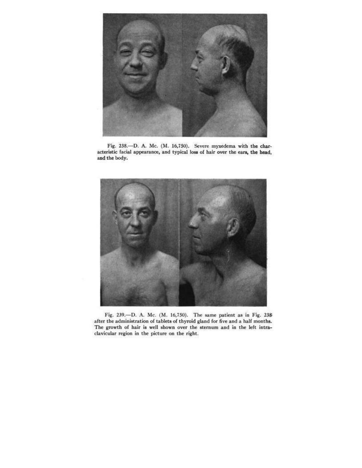

Fig. 238.-D. A. Mc. (M. 16,750). Severe myxedema with the characteristic facial appearance, and typical loss of hair over the ears, the head, and the body.



Fig. 239.-D. A. Mc. (M. 16,750). The same patient as in Fig. 238 after the administration of tablets of thyroid gland for five and a half months. The growth of hair is well shown over the sternum and in the left intraclavicular region in the picture on the right.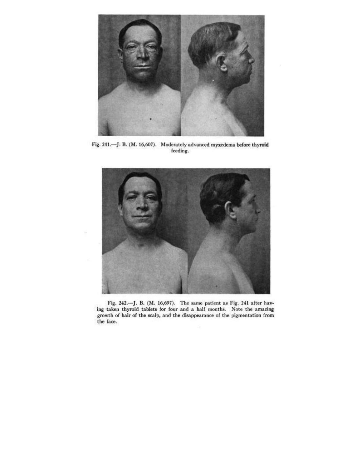

Fig. 241.-J. B. (M. 16,607). Moderately advanced myxedema before thyroid feeding.



Fig. 242.-J. B. (M. 16,697). The same patient as Fig. 241 after having taken thyroid tablets for four and a half months. Note the amazing growth of hair of the scalp, and the disappearance of the pigmentation from the face.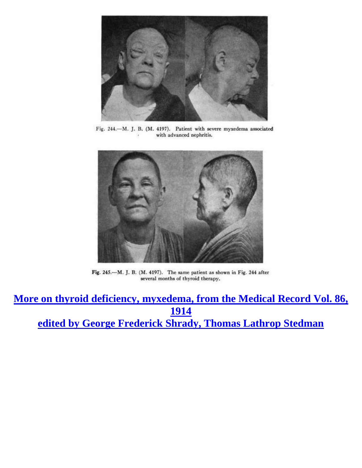

Fig. 244.-M. J. B. (M. 4197). Patient with severe myxedema associated with advanced nephritis.



Fig. 245.-M. J. B. (M. 4197). The same patient as shown in Fig. 244 after several months of thyroid therapy.

**[More on thyroid deficiency, myxedema, from the Medical Record Vol. 86,](http://tinyurl.com/3zu3qlh)  [1914](http://tinyurl.com/3zu3qlh) [edited by George Frederick Shrady, Thomas Lathrop Stedman](http://tinyurl.com/3zu3qlh)**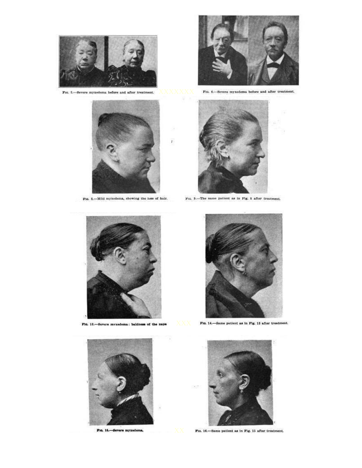

F10. 5.-Severe myxedema before and after treatment.



Fia. 8.-Mild myxedema, showing the loss of hair.



Fia. 6.-Severe myxedema before and after treatment.





Fia. 12.-Severe myxedema: baldness of the nape



Fta, 15,-Severe myxedema.



Fm. 14.-Same patient as in Fig. 13 after treatment.



F10. 16.-Same patient as in Fig. 15 after treatment.



 $y_{10}$ , 9.-The same patient as in Fig. 8 after treatment.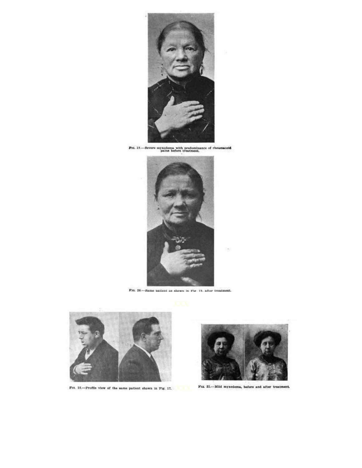

For 19.—Severe myxedems with predominance of rheumatols pairs before treatment.



F10, 20 .-- Same patient as shown in Fig. 19, after treatment.



Fm. 18.---Profile view of the same patient shown in Fig. 17.  $\overline{\text{XX}}$ 



Fia. 25.-Mild myxedema, before and after treatment.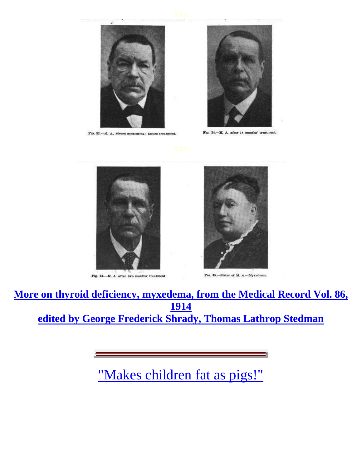

Fra. 32.-M. A., severe myxedema; before treatment.



F10. 34 .- M. A. after 14 months' treatment.



Fig. 33 .- M. A. after two months' treatment



Fra. 35.-Slater of M. A.-Myxedema.

**[More on thyroid deficiency, myxedema, from the Medical Record Vol. 86,](http://tinyurl.com/3zu3qlh)  [1914](http://tinyurl.com/3zu3qlh) [edited by George Frederick Shrady, Thomas Lathrop Stedman](http://tinyurl.com/3zu3qlh)**

["Makes children fat as pigs!"](http://curezone.com/forums/fm.asp?i=1591342#i)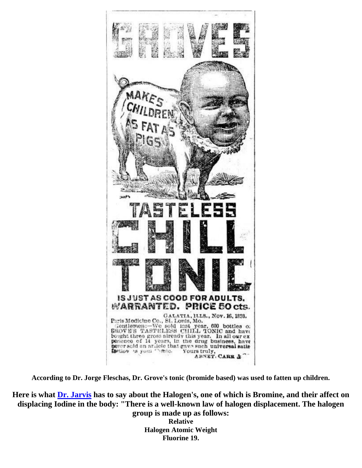

**According to Dr. Jorge Fleschas, Dr. Grove's tonic (bromide based) was used to fatten up children.**

**Here is what [Dr. Jarvis](http://www.lugols.com/) has to say about the Halogen's, one of which is Bromine, and their affect on displacing Iodine in the body: "There is a well-known law of halogen displacement. The halogen** 

**group is made up as follows: Relative Halogen Atomic Weight Fluorine 19.**